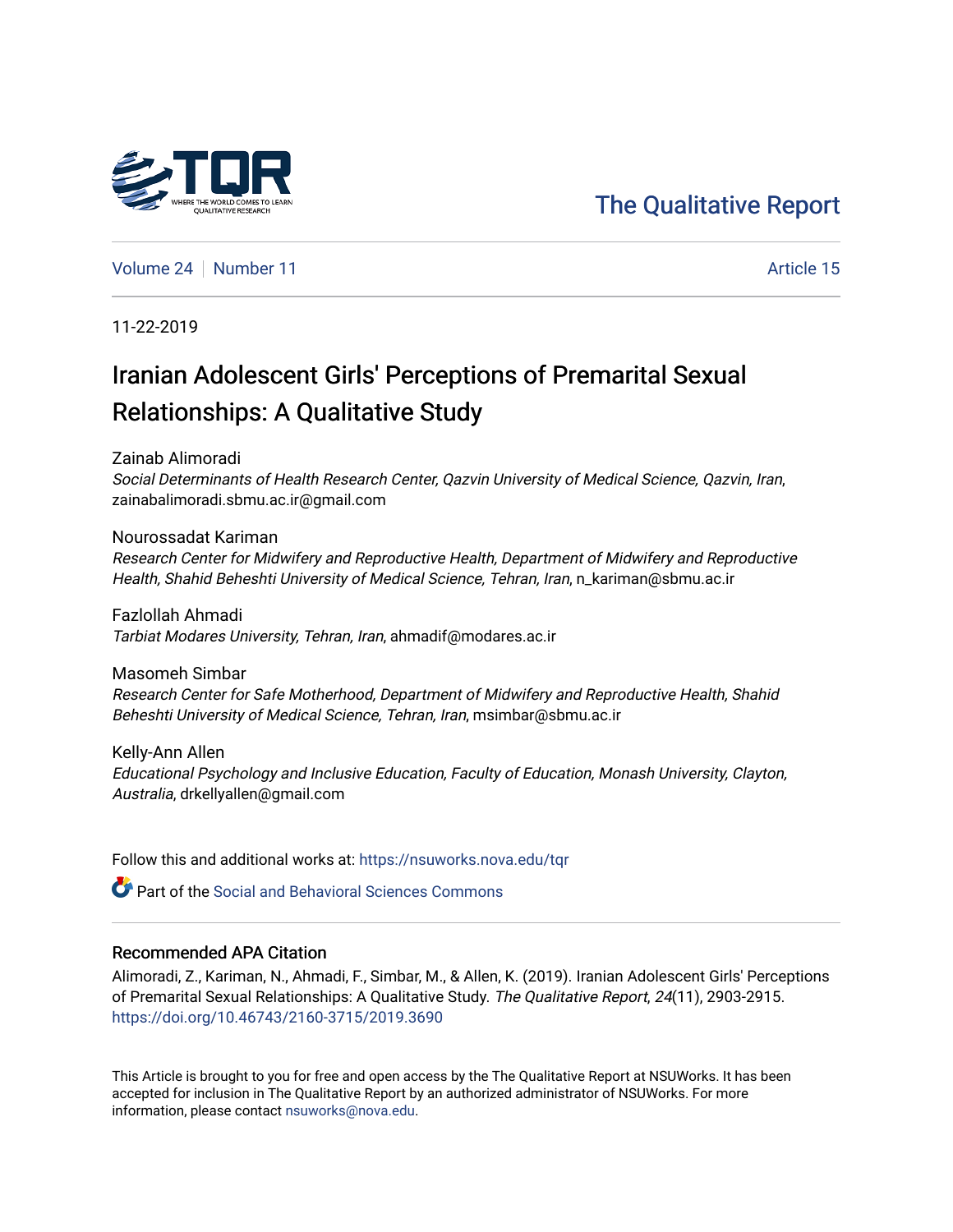# [The Qualitative Report](https://nsuworks.nova.edu/tqr)

[Volume 24](https://nsuworks.nova.edu/tqr/vol24) [Number 11](https://nsuworks.nova.edu/tqr/vol24/iss11) Article 15

11-22-2019

# Iranian Adolescent Girls' Perceptions of Premarital Sexual Relationships: A Qualitative Study

Zainab Alimoradi

Social Determinants of Health Research Center, Qazvin University of Medical Science, Qazvin, Iran, zainabalimoradi.sbmu.ac.ir@gmail.com

Nourossadat Kariman Research Center for Midwifery and Reproductive Health, Department of Midwifery and Reproductive Health, Shahid Beheshti University of Medical Science, Tehran, Iran, n\_kariman@sbmu.ac.ir

Fazlollah Ahmadi Tarbiat Modares University, Tehran, Iran, ahmadif@modares.ac.ir

Masomeh Simbar Research Center for Safe Motherhood, Department of Midwifery and Reproductive Health, Shahid Beheshti University of Medical Science, Tehran, Iran, msimbar@sbmu.ac.ir

Kelly-Ann Allen Educational Psychology and Inclusive Education, Faculty of Education, Monash University, Clayton, Australia, drkellyallen@gmail.com

Follow this and additional works at: [https://nsuworks.nova.edu/tqr](https://nsuworks.nova.edu/tqr?utm_source=nsuworks.nova.edu%2Ftqr%2Fvol24%2Fiss11%2F15&utm_medium=PDF&utm_campaign=PDFCoverPages) 

**C** Part of the Social and Behavioral Sciences Commons

## Recommended APA Citation

Alimoradi, Z., Kariman, N., Ahmadi, F., Simbar, M., & Allen, K. (2019). Iranian Adolescent Girls' Perceptions of Premarital Sexual Relationships: A Qualitative Study. The Qualitative Report, 24(11), 2903-2915. <https://doi.org/10.46743/2160-3715/2019.3690>

This Article is brought to you for free and open access by the The Qualitative Report at NSUWorks. It has been accepted for inclusion in The Qualitative Report by an authorized administrator of NSUWorks. For more information, please contact [nsuworks@nova.edu.](mailto:nsuworks@nova.edu)

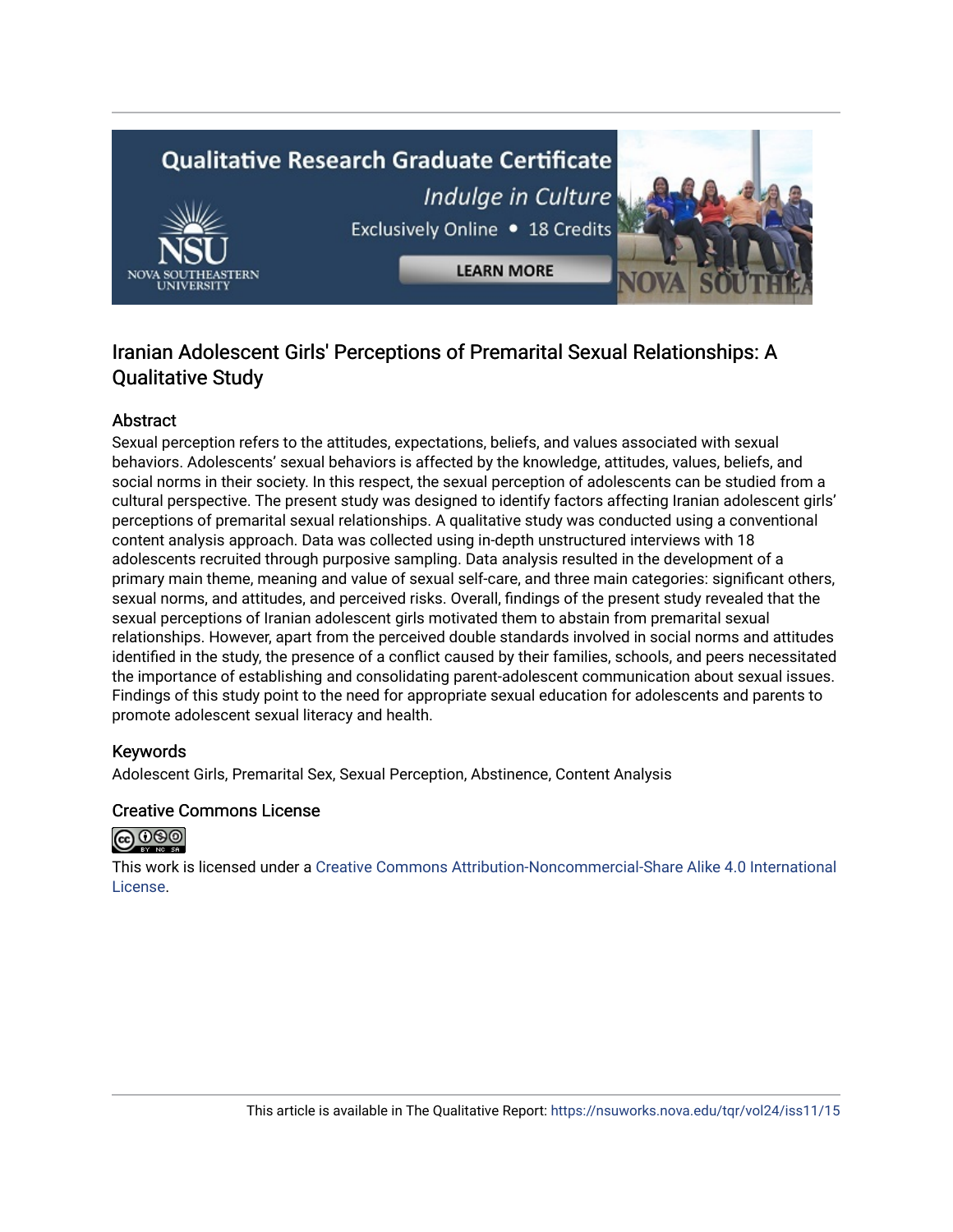# **Qualitative Research Graduate Certificate** Indulge in Culture Exclusively Online . 18 Credits **LEARN MORE**

# Iranian Adolescent Girls' Perceptions of Premarital Sexual Relationships: A Qualitative Study

# Abstract

Sexual perception refers to the attitudes, expectations, beliefs, and values associated with sexual behaviors. Adolescents' sexual behaviors is affected by the knowledge, attitudes, values, beliefs, and social norms in their society. In this respect, the sexual perception of adolescents can be studied from a cultural perspective. The present study was designed to identify factors affecting Iranian adolescent girls' perceptions of premarital sexual relationships. A qualitative study was conducted using a conventional content analysis approach. Data was collected using in-depth unstructured interviews with 18 adolescents recruited through purposive sampling. Data analysis resulted in the development of a primary main theme, meaning and value of sexual self-care, and three main categories: significant others, sexual norms, and attitudes, and perceived risks. Overall, findings of the present study revealed that the sexual perceptions of Iranian adolescent girls motivated them to abstain from premarital sexual relationships. However, apart from the perceived double standards involved in social norms and attitudes identified in the study, the presence of a conflict caused by their families, schools, and peers necessitated the importance of establishing and consolidating parent-adolescent communication about sexual issues. Findings of this study point to the need for appropriate sexual education for adolescents and parents to promote adolescent sexual literacy and health.

# Keywords

Adolescent Girls, Premarital Sex, Sexual Perception, Abstinence, Content Analysis

# Creative Commons License



This work is licensed under a [Creative Commons Attribution-Noncommercial-Share Alike 4.0 International](https://creativecommons.org/licenses/by-nc-sa/4.0/)  [License](https://creativecommons.org/licenses/by-nc-sa/4.0/).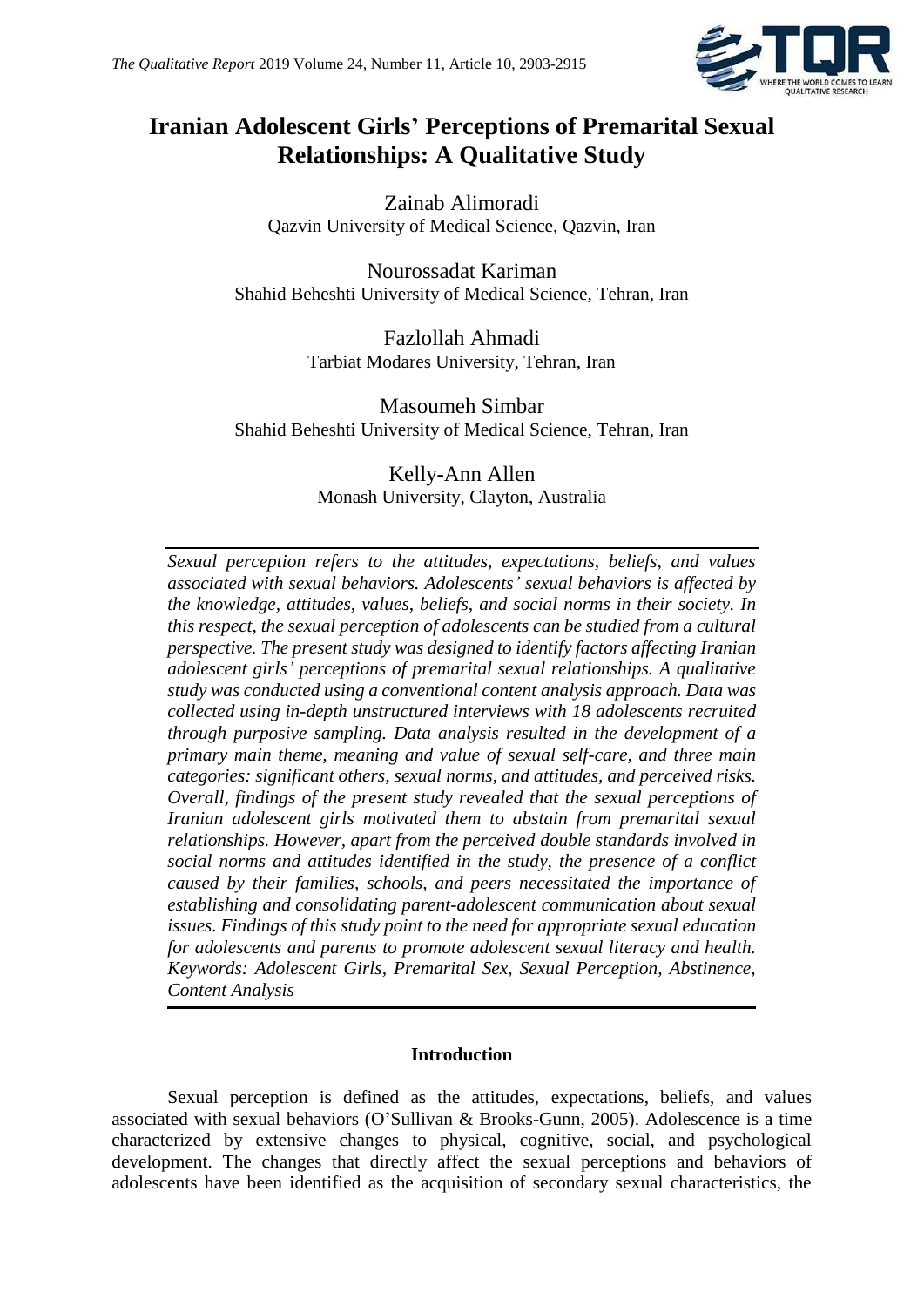

# **Iranian Adolescent Girls' Perceptions of Premarital Sexual Relationships: A Qualitative Study**

Zainab Alimoradi Qazvin University of Medical Science, Qazvin, Iran

Nourossadat Kariman Shahid Beheshti University of Medical Science, Tehran, Iran

> Fazlollah Ahmadi Tarbiat Modares University, Tehran, Iran

Masoumeh Simbar Shahid Beheshti University of Medical Science, Tehran, Iran

> Kelly-Ann Allen Monash University, Clayton, Australia

*Sexual perception refers to the attitudes, expectations, beliefs, and values associated with sexual behaviors. Adolescents' sexual behaviors is affected by the knowledge, attitudes, values, beliefs, and social norms in their society. In this respect, the sexual perception of adolescents can be studied from a cultural perspective. The present study was designed to identify factors affecting Iranian adolescent girls' perceptions of premarital sexual relationships. A qualitative study was conducted using a conventional content analysis approach. Data was collected using in-depth unstructured interviews with 18 adolescents recruited through purposive sampling. Data analysis resulted in the development of a primary main theme, meaning and value of sexual self-care, and three main categories: significant others, sexual norms, and attitudes, and perceived risks. Overall, findings of the present study revealed that the sexual perceptions of Iranian adolescent girls motivated them to abstain from premarital sexual relationships. However, apart from the perceived double standards involved in social norms and attitudes identified in the study, the presence of a conflict caused by their families, schools, and peers necessitated the importance of establishing and consolidating parent-adolescent communication about sexual issues. Findings of this study point to the need for appropriate sexual education for adolescents and parents to promote adolescent sexual literacy and health. Keywords: Adolescent Girls, Premarital Sex, Sexual Perception, Abstinence, Content Analysis*

# **Introduction**

Sexual perception is defined as the attitudes, expectations, beliefs, and values associated with sexual behaviors (O'Sullivan & Brooks-Gunn, 2005). Adolescence is a time characterized by extensive changes to physical, cognitive, social, and psychological development. The changes that directly affect the sexual perceptions and behaviors of adolescents have been identified as the acquisition of secondary sexual characteristics, the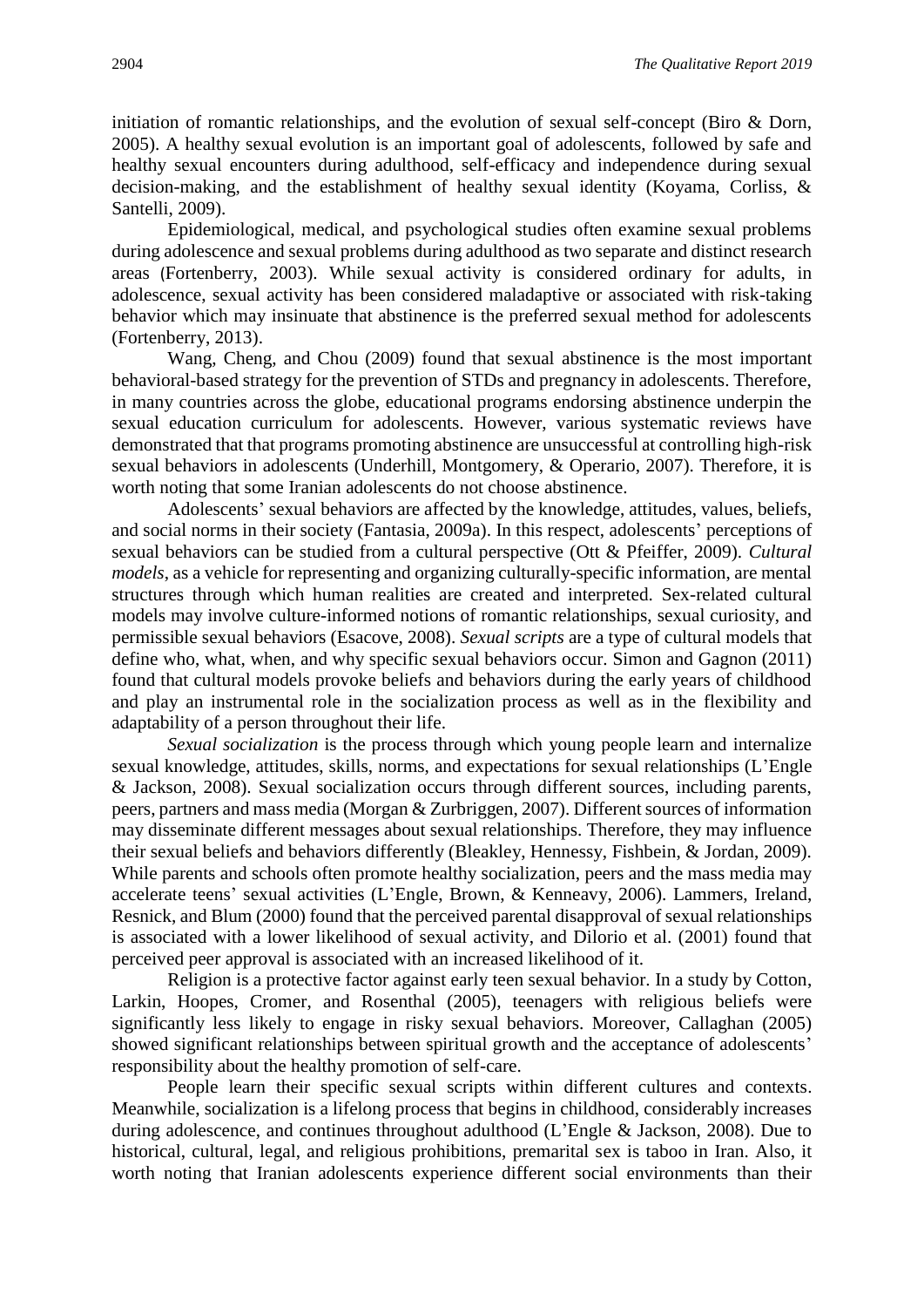initiation of romantic relationships, and the evolution of sexual self-concept (Biro & Dorn, 2005). A healthy sexual evolution is an important goal of adolescents, followed by safe and healthy sexual encounters during adulthood, self-efficacy and independence during sexual decision-making, and the establishment of healthy sexual identity (Koyama, Corliss, & Santelli, 2009).

Epidemiological, medical, and psychological studies often examine sexual problems during adolescence and sexual problems during adulthood as two separate and distinct research areas (Fortenberry, 2003). While sexual activity is considered ordinary for adults, in adolescence, sexual activity has been considered maladaptive or associated with risk-taking behavior which may insinuate that abstinence is the preferred sexual method for adolescents (Fortenberry, 2013).

Wang, Cheng, and Chou (2009) found that sexual abstinence is the most important behavioral-based strategy for the prevention of STDs and pregnancy in adolescents. Therefore, in many countries across the globe, educational programs endorsing abstinence underpin the sexual education curriculum for adolescents. However, various systematic reviews have demonstrated that that programs promoting abstinence are unsuccessful at controlling high-risk sexual behaviors in adolescents (Underhill, Montgomery, & Operario, 2007). Therefore, it is worth noting that some Iranian adolescents do not choose abstinence.

Adolescents' sexual behaviors are affected by the knowledge, attitudes, values, beliefs, and social norms in their society (Fantasia, 2009a). In this respect, adolescents' perceptions of sexual behaviors can be studied from a cultural perspective (Ott & Pfeiffer, 2009). *Cultural models*, as a vehicle for representing and organizing culturally-specific information, are mental structures through which human realities are created and interpreted. Sex-related cultural models may involve culture-informed notions of romantic relationships, sexual curiosity, and permissible sexual behaviors (Esacove, 2008). *Sexual scripts* are a type of cultural models that define who, what, when, and why specific sexual behaviors occur. Simon and Gagnon (2011) found that cultural models provoke beliefs and behaviors during the early years of childhood and play an instrumental role in the socialization process as well as in the flexibility and adaptability of a person throughout their life.

*Sexual socialization* is the process through which young people learn and internalize sexual knowledge, attitudes, skills, norms, and expectations for sexual relationships (L'Engle & Jackson, 2008). Sexual socialization occurs through different sources, including parents, peers, partners and mass media (Morgan & Zurbriggen, 2007). Different sources of information may disseminate different messages about sexual relationships. Therefore, they may influence their sexual beliefs and behaviors differently (Bleakley, Hennessy, Fishbein, & Jordan, 2009). While parents and schools often promote healthy socialization, peers and the mass media may accelerate teens' sexual activities (L'Engle, Brown, & Kenneavy, 2006). Lammers, Ireland, Resnick, and Blum (2000) found that the perceived parental disapproval of sexual relationships is associated with a lower likelihood of sexual activity, and Dilorio et al. (2001) found that perceived peer approval is associated with an increased likelihood of it.

Religion is a protective factor against early teen sexual behavior. In a study by Cotton, Larkin, Hoopes, Cromer, and Rosenthal (2005), teenagers with religious beliefs were significantly less likely to engage in risky sexual behaviors. Moreover, Callaghan (2005) showed significant relationships between spiritual growth and the acceptance of adolescents' responsibility about the healthy promotion of self-care.

People learn their specific sexual scripts within different cultures and contexts. Meanwhile, socialization is a lifelong process that begins in childhood, considerably increases during adolescence, and continues throughout adulthood (L'Engle & Jackson, 2008). Due to historical, cultural, legal, and religious prohibitions, premarital sex is taboo in Iran. Also, it worth noting that Iranian adolescents experience different social environments than their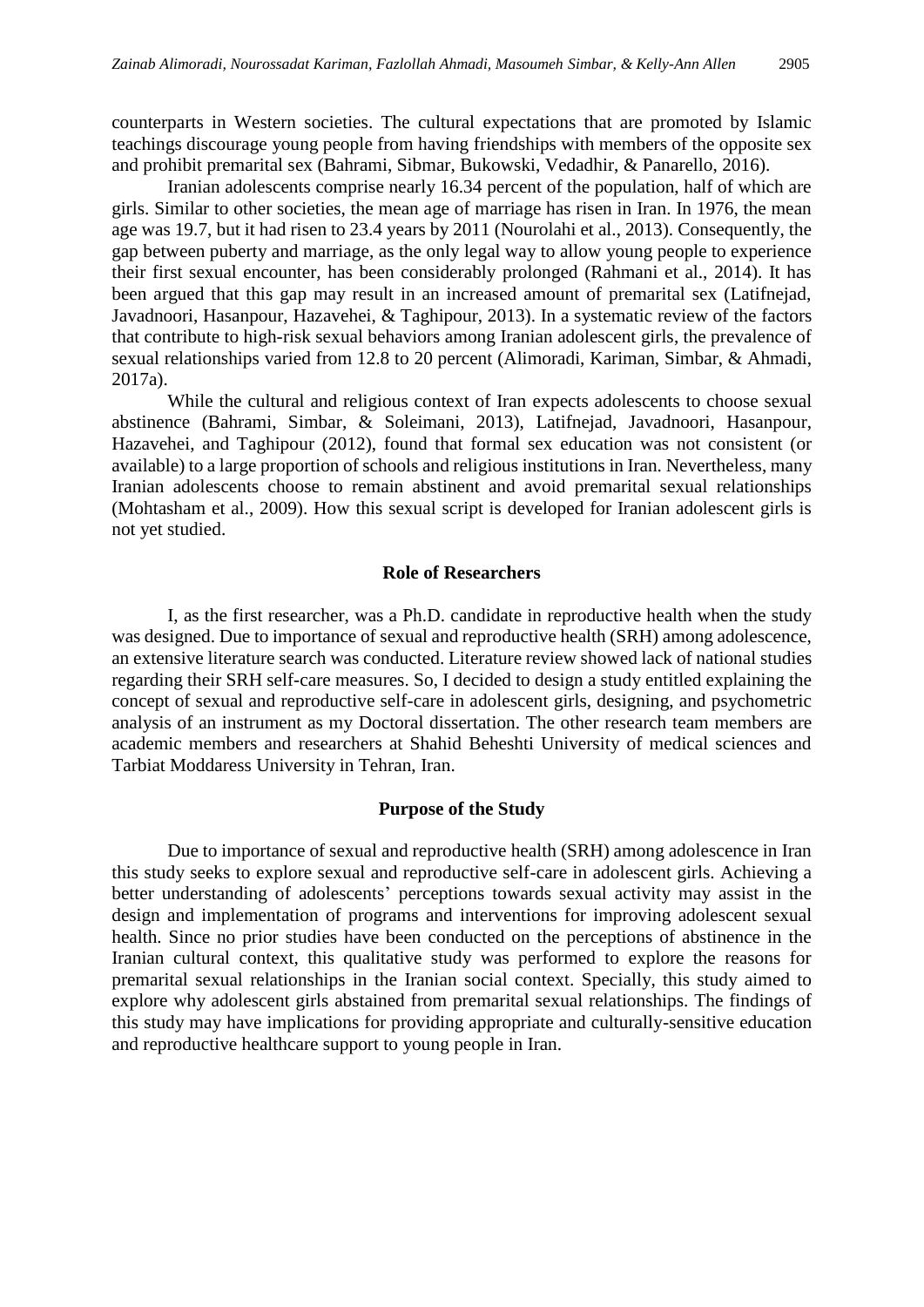counterparts in Western societies. The cultural expectations that are promoted by Islamic teachings discourage young people from having friendships with members of the opposite sex and prohibit premarital sex (Bahrami, Sibmar, Bukowski, Vedadhir, & Panarello, 2016).

Iranian adolescents comprise nearly 16.34 percent of the population, half of which are girls. Similar to other societies, the mean age of marriage has risen in Iran. In 1976, the mean age was 19.7, but it had risen to 23.4 years by 2011 (Nourolahi et al., 2013). Consequently, the gap between puberty and marriage, as the only legal way to allow young people to experience their first sexual encounter, has been considerably prolonged (Rahmani et al., 2014). It has been argued that this gap may result in an increased amount of premarital sex (Latifnejad, Javadnoori, Hasanpour, Hazavehei, & Taghipour, 2013). In a systematic review of the factors that contribute to high-risk sexual behaviors among Iranian adolescent girls, the prevalence of sexual relationships varied from 12.8 to 20 percent (Alimoradi, Kariman, Simbar, & Ahmadi, 2017a).

While the cultural and religious context of Iran expects adolescents to choose sexual abstinence (Bahrami, Simbar, & Soleimani, 2013), Latifnejad, Javadnoori, Hasanpour, Hazavehei, and Taghipour (2012), found that formal sex education was not consistent (or available) to a large proportion of schools and religious institutions in Iran. Nevertheless, many Iranian adolescents choose to remain abstinent and avoid premarital sexual relationships (Mohtasham et al., 2009). How this sexual script is developed for Iranian adolescent girls is not yet studied.

## **Role of Researchers**

I, as the first researcher, was a Ph.D. candidate in reproductive health when the study was designed. Due to importance of sexual and reproductive health (SRH) among adolescence, an extensive literature search was conducted. Literature review showed lack of national studies regarding their SRH self-care measures. So, I decided to design a study entitled explaining the concept of sexual and reproductive self-care in adolescent girls, designing, and psychometric analysis of an instrument as my Doctoral dissertation. The other research team members are academic members and researchers at Shahid Beheshti University of medical sciences and Tarbiat Moddaress University in Tehran, Iran.

## **Purpose of the Study**

Due to importance of sexual and reproductive health (SRH) among adolescence in Iran this study seeks to explore sexual and reproductive self-care in adolescent girls. Achieving a better understanding of adolescents' perceptions towards sexual activity may assist in the design and implementation of programs and interventions for improving adolescent sexual health. Since no prior studies have been conducted on the perceptions of abstinence in the Iranian cultural context, this qualitative study was performed to explore the reasons for premarital sexual relationships in the Iranian social context. Specially, this study aimed to explore why adolescent girls abstained from premarital sexual relationships. The findings of this study may have implications for providing appropriate and culturally-sensitive education and reproductive healthcare support to young people in Iran.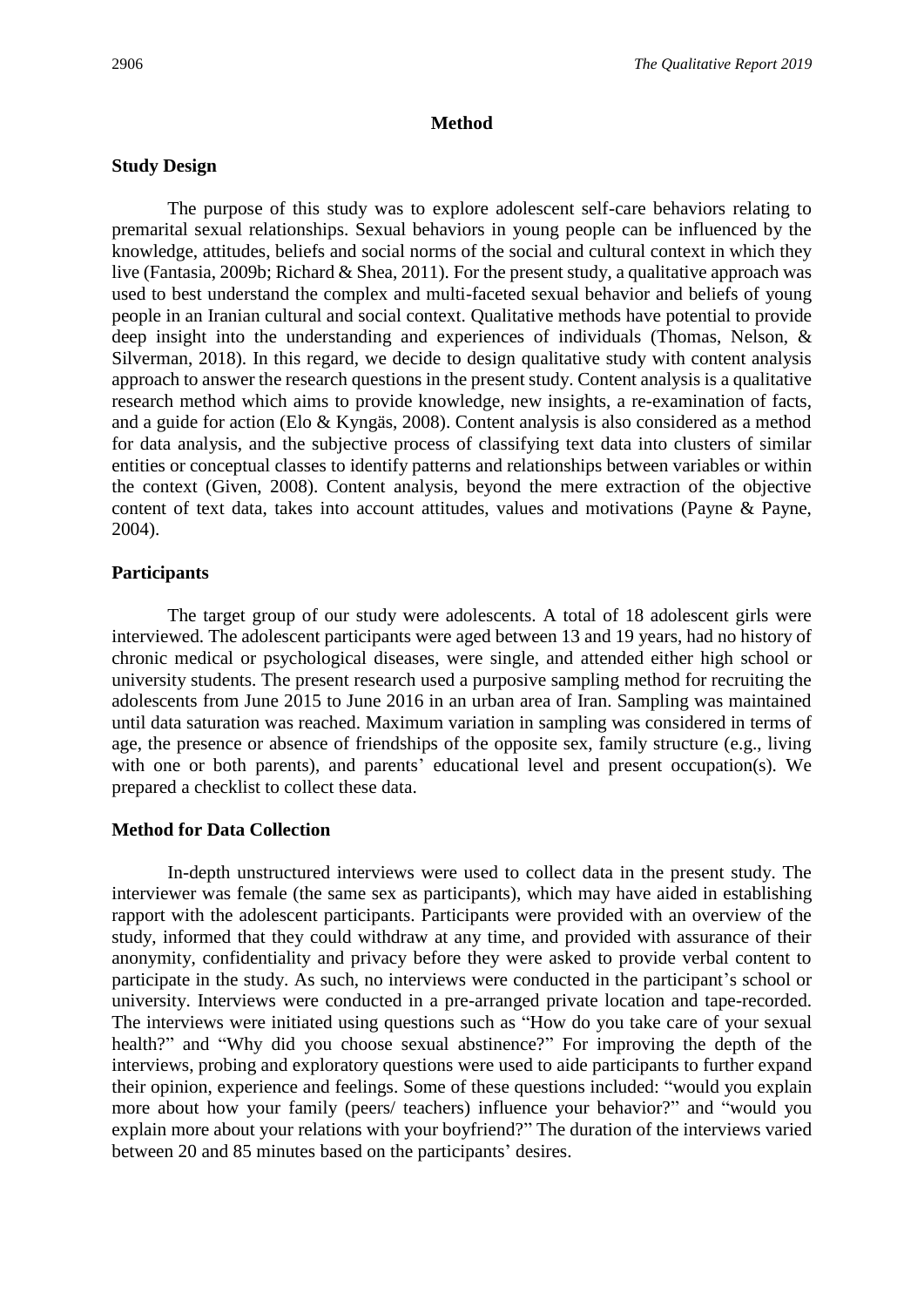# **Method**

# **Study Design**

The purpose of this study was to explore adolescent self-care behaviors relating to premarital sexual relationships. Sexual behaviors in young people can be influenced by the knowledge, attitudes, beliefs and social norms of the social and cultural context in which they live (Fantasia, 2009b; Richard & Shea, 2011). For the present study, a qualitative approach was used to best understand the complex and multi-faceted sexual behavior and beliefs of young people in an Iranian cultural and social context. Qualitative methods have potential to provide deep insight into the understanding and experiences of individuals (Thomas, Nelson, & Silverman, 2018). In this regard, we decide to design qualitative study with content analysis approach to answer the research questions in the present study. Content analysis is a qualitative research method which aims to provide knowledge, new insights, a re-examination of facts, and a guide for action (Elo & Kyngäs, 2008). Content analysis is also considered as a method for data analysis, and the subjective process of classifying text data into clusters of similar entities or conceptual classes to identify patterns and relationships between variables or within the context (Given, 2008). Content analysis, beyond the mere extraction of the objective content of text data, takes into account attitudes, values and motivations (Payne & Payne, 2004).

# **Participants**

The target group of our study were adolescents. A total of 18 adolescent girls were interviewed. The adolescent participants were aged between 13 and 19 years, had no history of chronic medical or psychological diseases, were single, and attended either high school or university students. The present research used a purposive sampling method for recruiting the adolescents from June 2015 to June 2016 in an urban area of Iran. Sampling was maintained until data saturation was reached. Maximum variation in sampling was considered in terms of age, the presence or absence of friendships of the opposite sex, family structure (e.g., living with one or both parents), and parents' educational level and present occupation(s). We prepared a checklist to collect these data.

# **Method for Data Collection**

In-depth unstructured interviews were used to collect data in the present study. The interviewer was female (the same sex as participants), which may have aided in establishing rapport with the adolescent participants. Participants were provided with an overview of the study, informed that they could withdraw at any time, and provided with assurance of their anonymity, confidentiality and privacy before they were asked to provide verbal content to participate in the study. As such, no interviews were conducted in the participant's school or university. Interviews were conducted in a pre-arranged private location and tape-recorded. The interviews were initiated using questions such as "How do you take care of your sexual health?" and "Why did you choose sexual abstinence?" For improving the depth of the interviews, probing and exploratory questions were used to aide participants to further expand their opinion, experience and feelings. Some of these questions included: "would you explain more about how your family (peers/ teachers) influence your behavior?" and "would you explain more about your relations with your boyfriend?" The duration of the interviews varied between 20 and 85 minutes based on the participants' desires.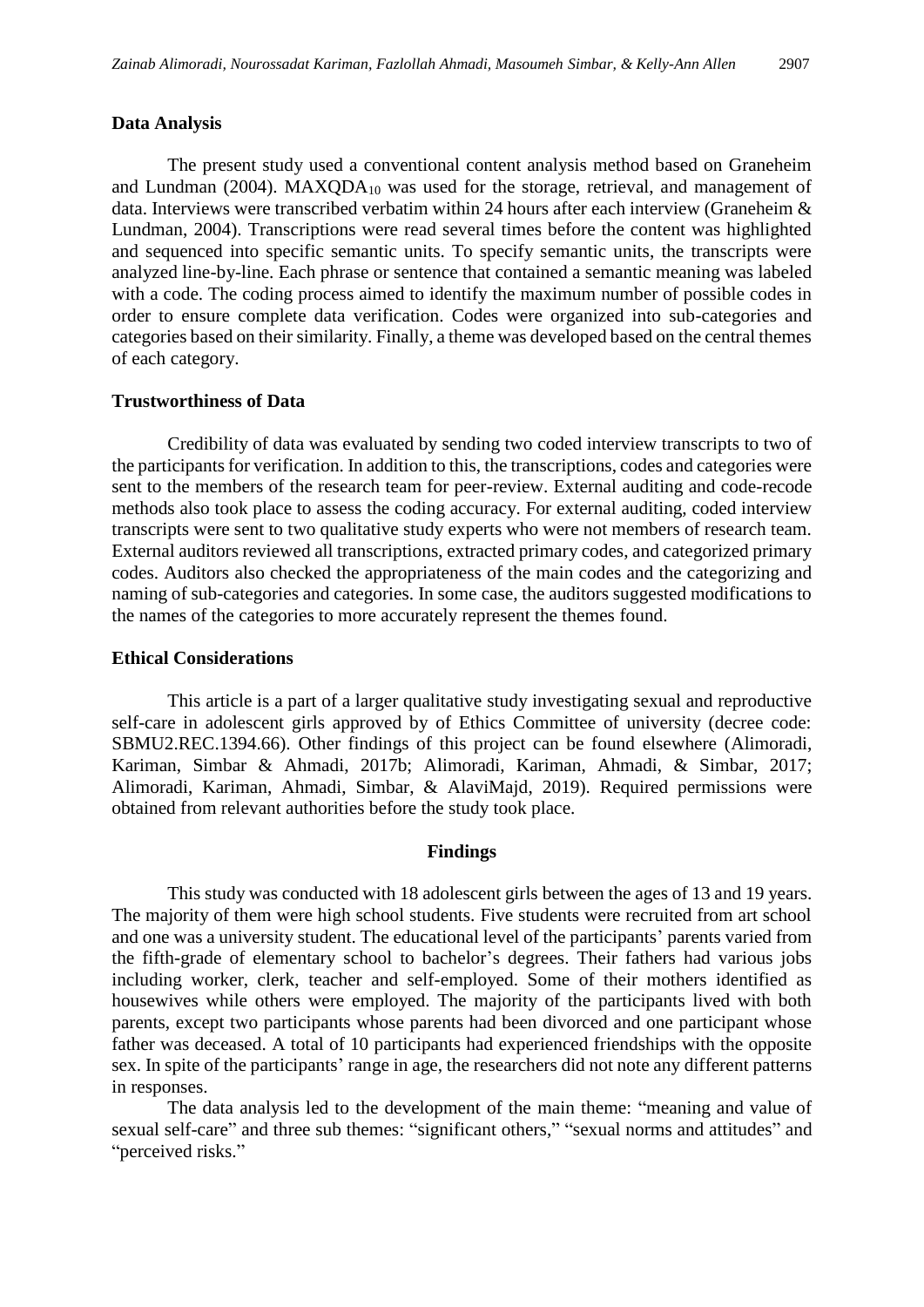### **Data Analysis**

The present study used a conventional content analysis method based on Graneheim and Lundman (2004). MAXQDA<sup>10</sup> was used for the storage, retrieval, and management of data. Interviews were transcribed verbatim within 24 hours after each interview (Graneheim & Lundman, 2004). Transcriptions were read several times before the content was highlighted and sequenced into specific semantic units. To specify semantic units, the transcripts were analyzed line-by-line. Each phrase or sentence that contained a semantic meaning was labeled with a code. The coding process aimed to identify the maximum number of possible codes in order to ensure complete data verification. Codes were organized into sub-categories and categories based on their similarity. Finally, a theme was developed based on the central themes of each category.

### **Trustworthiness of Data**

Credibility of data was evaluated by sending two coded interview transcripts to two of the participants for verification. In addition to this, the transcriptions, codes and categories were sent to the members of the research team for peer-review. External auditing and code-recode methods also took place to assess the coding accuracy. For external auditing, coded interview transcripts were sent to two qualitative study experts who were not members of research team. External auditors reviewed all transcriptions, extracted primary codes, and categorized primary codes. Auditors also checked the appropriateness of the main codes and the categorizing and naming of sub-categories and categories. In some case, the auditors suggested modifications to the names of the categories to more accurately represent the themes found.

### **Ethical Considerations**

This article is a part of a larger qualitative study investigating sexual and reproductive self-care in adolescent girls approved by of Ethics Committee of university (decree code: SBMU2.REC.1394.66). Other findings of this project can be found elsewhere (Alimoradi, Kariman, Simbar & Ahmadi, 2017b; Alimoradi, Kariman, Ahmadi, & Simbar, 2017; Alimoradi, Kariman, Ahmadi, Simbar, & AlaviMajd, 2019). Required permissions were obtained from relevant authorities before the study took place.

#### **Findings**

This study was conducted with 18 adolescent girls between the ages of 13 and 19 years. The majority of them were high school students. Five students were recruited from art school and one was a university student. The educational level of the participants' parents varied from the fifth-grade of elementary school to bachelor's degrees. Their fathers had various jobs including worker, clerk, teacher and self-employed. Some of their mothers identified as housewives while others were employed. The majority of the participants lived with both parents, except two participants whose parents had been divorced and one participant whose father was deceased. A total of 10 participants had experienced friendships with the opposite sex. In spite of the participants' range in age, the researchers did not note any different patterns in responses.

The data analysis led to the development of the main theme: "meaning and value of sexual self-care" and three sub themes: "significant others," "sexual norms and attitudes" and "perceived risks."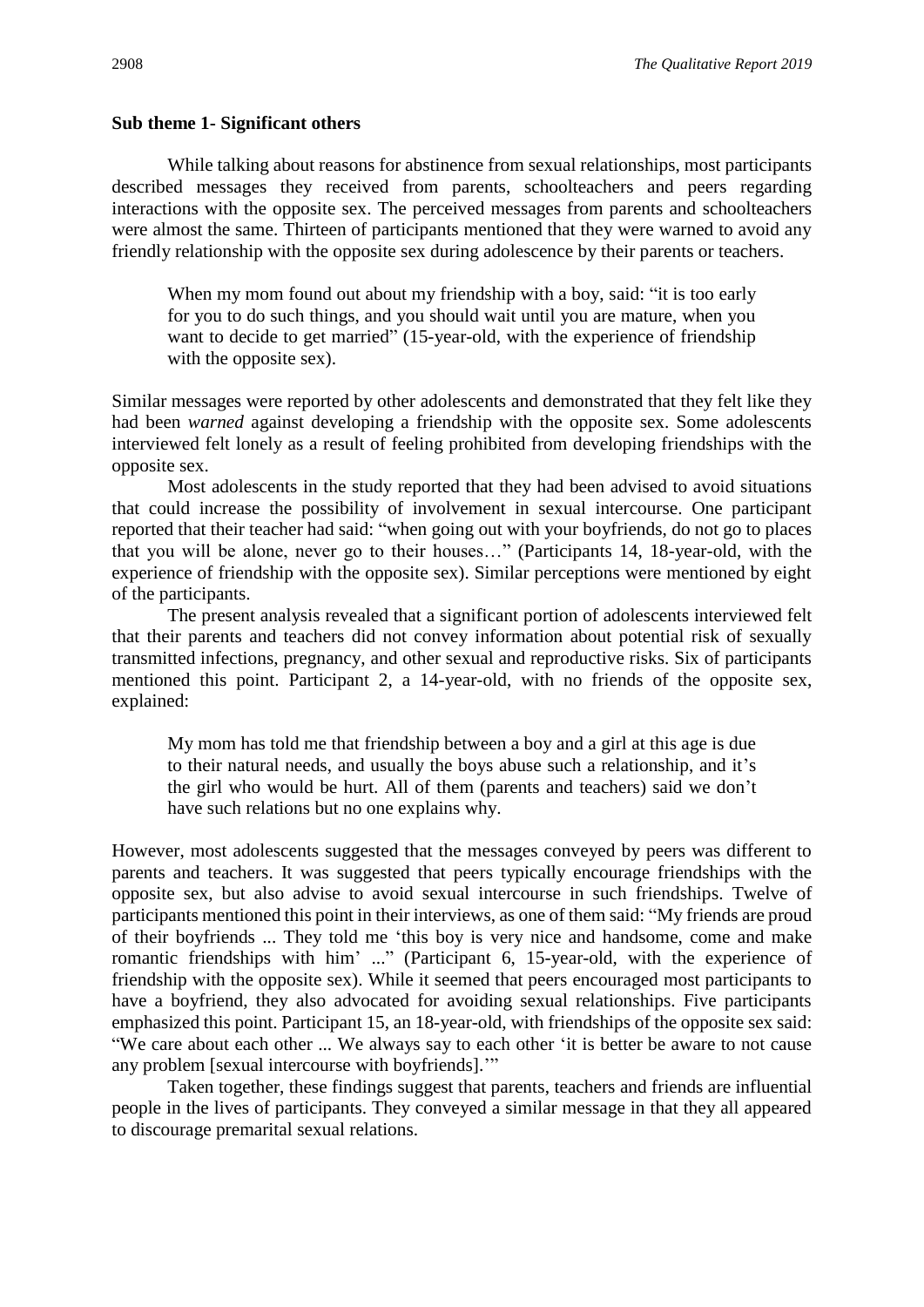## **Sub theme 1- Significant others**

While talking about reasons for abstinence from sexual relationships, most participants described messages they received from parents, schoolteachers and peers regarding interactions with the opposite sex. The perceived messages from parents and schoolteachers were almost the same. Thirteen of participants mentioned that they were warned to avoid any friendly relationship with the opposite sex during adolescence by their parents or teachers.

When my mom found out about my friendship with a boy, said: "it is too early for you to do such things, and you should wait until you are mature, when you want to decide to get married" (15-year-old, with the experience of friendship with the opposite sex).

Similar messages were reported by other adolescents and demonstrated that they felt like they had been *warned* against developing a friendship with the opposite sex. Some adolescents interviewed felt lonely as a result of feeling prohibited from developing friendships with the opposite sex.

Most adolescents in the study reported that they had been advised to avoid situations that could increase the possibility of involvement in sexual intercourse. One participant reported that their teacher had said: "when going out with your boyfriends, do not go to places that you will be alone, never go to their houses…" (Participants 14, 18-year-old, with the experience of friendship with the opposite sex). Similar perceptions were mentioned by eight of the participants.

The present analysis revealed that a significant portion of adolescents interviewed felt that their parents and teachers did not convey information about potential risk of sexually transmitted infections, pregnancy, and other sexual and reproductive risks. Six of participants mentioned this point. Participant 2, a 14-year-old, with no friends of the opposite sex, explained:

My mom has told me that friendship between a boy and a girl at this age is due to their natural needs, and usually the boys abuse such a relationship, and it's the girl who would be hurt. All of them (parents and teachers) said we don't have such relations but no one explains why.

However, most adolescents suggested that the messages conveyed by peers was different to parents and teachers. It was suggested that peers typically encourage friendships with the opposite sex, but also advise to avoid sexual intercourse in such friendships. Twelve of participants mentioned this point in their interviews, as one of them said: "My friends are proud of their boyfriends ... They told me 'this boy is very nice and handsome, come and make romantic friendships with him' ..." (Participant 6, 15-year-old, with the experience of friendship with the opposite sex). While it seemed that peers encouraged most participants to have a boyfriend, they also advocated for avoiding sexual relationships. Five participants emphasized this point. Participant 15, an 18-year-old, with friendships of the opposite sex said: "We care about each other ... We always say to each other 'it is better be aware to not cause any problem [sexual intercourse with boyfriends].'"

Taken together, these findings suggest that parents, teachers and friends are influential people in the lives of participants. They conveyed a similar message in that they all appeared to discourage premarital sexual relations.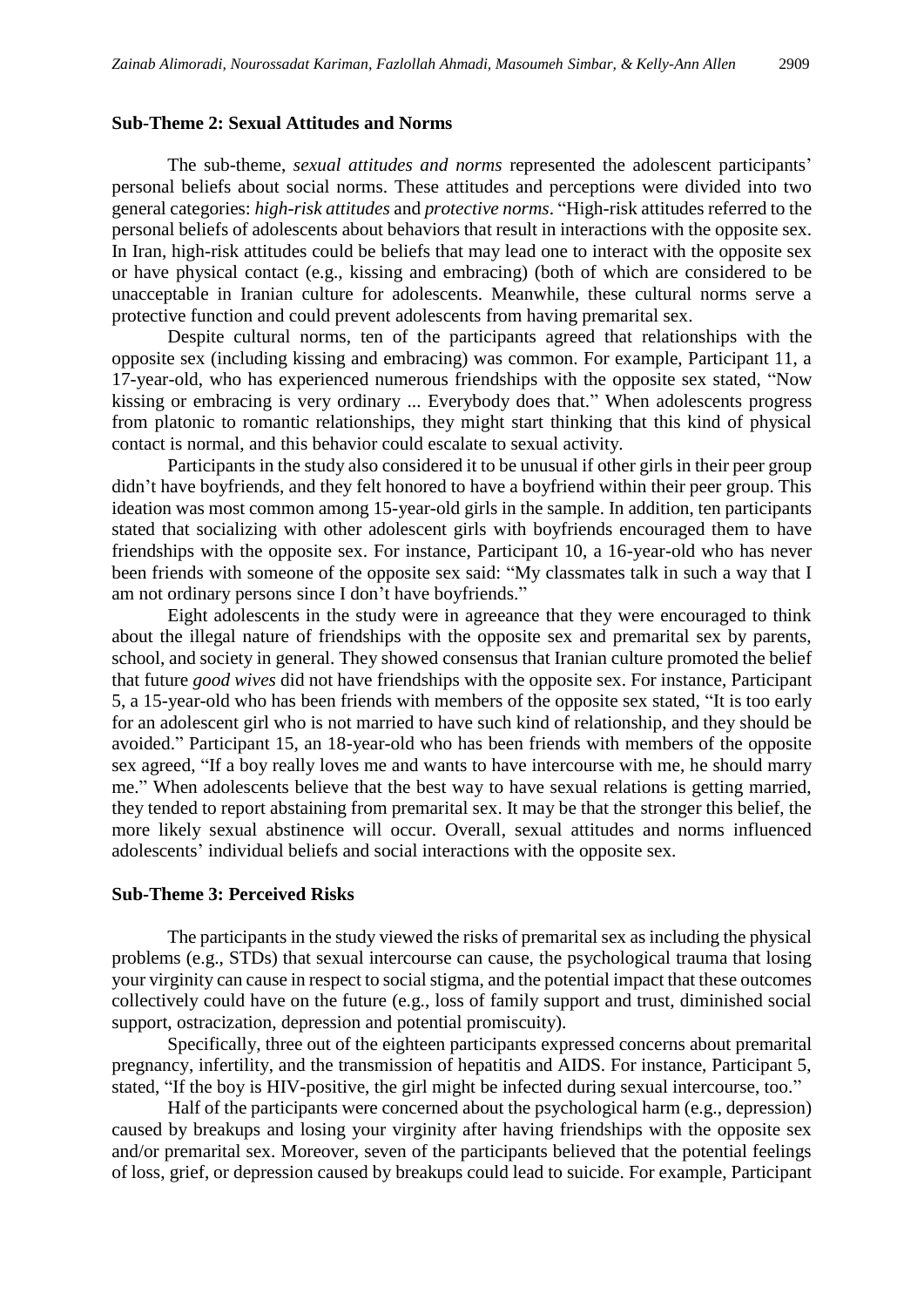## **Sub-Theme 2: Sexual Attitudes and Norms**

The sub-theme, *sexual attitudes and norms* represented the adolescent participants' personal beliefs about social norms. These attitudes and perceptions were divided into two general categories: *high-risk attitudes* and *protective norms*. "High-risk attitudes referred to the personal beliefs of adolescents about behaviors that result in interactions with the opposite sex. In Iran, high-risk attitudes could be beliefs that may lead one to interact with the opposite sex or have physical contact (e.g., kissing and embracing) (both of which are considered to be unacceptable in Iranian culture for adolescents. Meanwhile, these cultural norms serve a protective function and could prevent adolescents from having premarital sex.

Despite cultural norms, ten of the participants agreed that relationships with the opposite sex (including kissing and embracing) was common. For example, Participant 11, a 17-year-old, who has experienced numerous friendships with the opposite sex stated, "Now kissing or embracing is very ordinary ... Everybody does that." When adolescents progress from platonic to romantic relationships, they might start thinking that this kind of physical contact is normal, and this behavior could escalate to sexual activity.

Participants in the study also considered it to be unusual if other girls in their peer group didn't have boyfriends, and they felt honored to have a boyfriend within their peer group. This ideation was most common among 15-year-old girls in the sample. In addition, ten participants stated that socializing with other adolescent girls with boyfriends encouraged them to have friendships with the opposite sex. For instance, Participant 10, a 16-year-old who has never been friends with someone of the opposite sex said: "My classmates talk in such a way that I am not ordinary persons since I don't have boyfriends."

Eight adolescents in the study were in agreeance that they were encouraged to think about the illegal nature of friendships with the opposite sex and premarital sex by parents, school, and society in general. They showed consensus that Iranian culture promoted the belief that future *good wives* did not have friendships with the opposite sex. For instance, Participant 5, a 15-year-old who has been friends with members of the opposite sex stated, "It is too early for an adolescent girl who is not married to have such kind of relationship, and they should be avoided." Participant 15, an 18-year-old who has been friends with members of the opposite sex agreed, "If a boy really loves me and wants to have intercourse with me, he should marry me." When adolescents believe that the best way to have sexual relations is getting married, they tended to report abstaining from premarital sex. It may be that the stronger this belief, the more likely sexual abstinence will occur. Overall, sexual attitudes and norms influenced adolescents' individual beliefs and social interactions with the opposite sex.

# **Sub-Theme 3: Perceived Risks**

The participants in the study viewed the risks of premarital sex as including the physical problems (e.g., STDs) that sexual intercourse can cause, the psychological trauma that losing your virginity can cause in respect to social stigma, and the potential impact that these outcomes collectively could have on the future (e.g., loss of family support and trust, diminished social support, ostracization, depression and potential promiscuity).

Specifically, three out of the eighteen participants expressed concerns about premarital pregnancy, infertility, and the transmission of hepatitis and AIDS. For instance, Participant 5, stated, "If the boy is HIV-positive, the girl might be infected during sexual intercourse, too."

Half of the participants were concerned about the psychological harm (e.g., depression) caused by breakups and losing your virginity after having friendships with the opposite sex and/or premarital sex. Moreover, seven of the participants believed that the potential feelings of loss, grief, or depression caused by breakups could lead to suicide. For example, Participant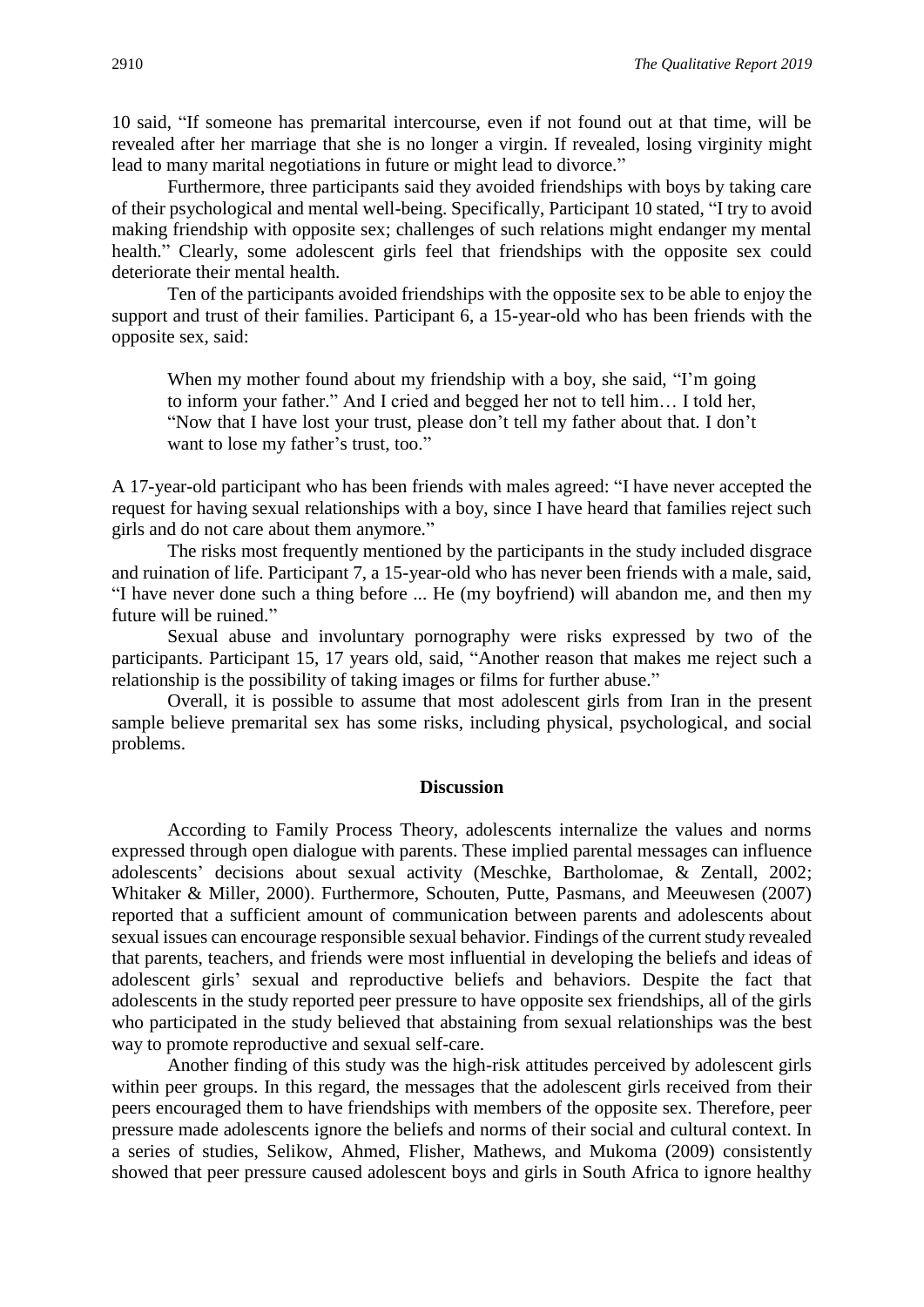10 said, "If someone has premarital intercourse, even if not found out at that time, will be revealed after her marriage that she is no longer a virgin. If revealed, losing virginity might lead to many marital negotiations in future or might lead to divorce."

Furthermore, three participants said they avoided friendships with boys by taking care of their psychological and mental well-being. Specifically, Participant 10 stated, "I try to avoid making friendship with opposite sex; challenges of such relations might endanger my mental health." Clearly, some adolescent girls feel that friendships with the opposite sex could deteriorate their mental health.

Ten of the participants avoided friendships with the opposite sex to be able to enjoy the support and trust of their families. Participant 6, a 15-year-old who has been friends with the opposite sex, said:

When my mother found about my friendship with a boy, she said, "I'm going to inform your father." And I cried and begged her not to tell him… I told her, "Now that I have lost your trust, please don't tell my father about that. I don't want to lose my father's trust, too."

A 17-year-old participant who has been friends with males agreed: "I have never accepted the request for having sexual relationships with a boy, since I have heard that families reject such girls and do not care about them anymore."

The risks most frequently mentioned by the participants in the study included disgrace and ruination of life. Participant 7, a 15-year-old who has never been friends with a male, said, "I have never done such a thing before ... He (my boyfriend) will abandon me, and then my future will be ruined."

Sexual abuse and involuntary pornography were risks expressed by two of the participants. Participant 15, 17 years old, said, "Another reason that makes me reject such a relationship is the possibility of taking images or films for further abuse."

Overall, it is possible to assume that most adolescent girls from Iran in the present sample believe premarital sex has some risks, including physical, psychological, and social problems.

#### **Discussion**

According to Family Process Theory, adolescents internalize the values and norms expressed through open dialogue with parents. These implied parental messages can influence adolescents' decisions about sexual activity (Meschke, Bartholomae, & Zentall, 2002; Whitaker & Miller, 2000). Furthermore, Schouten, Putte, Pasmans, and Meeuwesen (2007) reported that a sufficient amount of communication between parents and adolescents about sexual issues can encourage responsible sexual behavior. Findings of the current study revealed that parents, teachers, and friends were most influential in developing the beliefs and ideas of adolescent girls' sexual and reproductive beliefs and behaviors. Despite the fact that adolescents in the study reported peer pressure to have opposite sex friendships, all of the girls who participated in the study believed that abstaining from sexual relationships was the best way to promote reproductive and sexual self-care.

Another finding of this study was the high-risk attitudes perceived by adolescent girls within peer groups. In this regard, the messages that the adolescent girls received from their peers encouraged them to have friendships with members of the opposite sex. Therefore, peer pressure made adolescents ignore the beliefs and norms of their social and cultural context. In a series of studies, Selikow, Ahmed, Flisher, Mathews, and Mukoma (2009) consistently showed that peer pressure caused adolescent boys and girls in South Africa to ignore healthy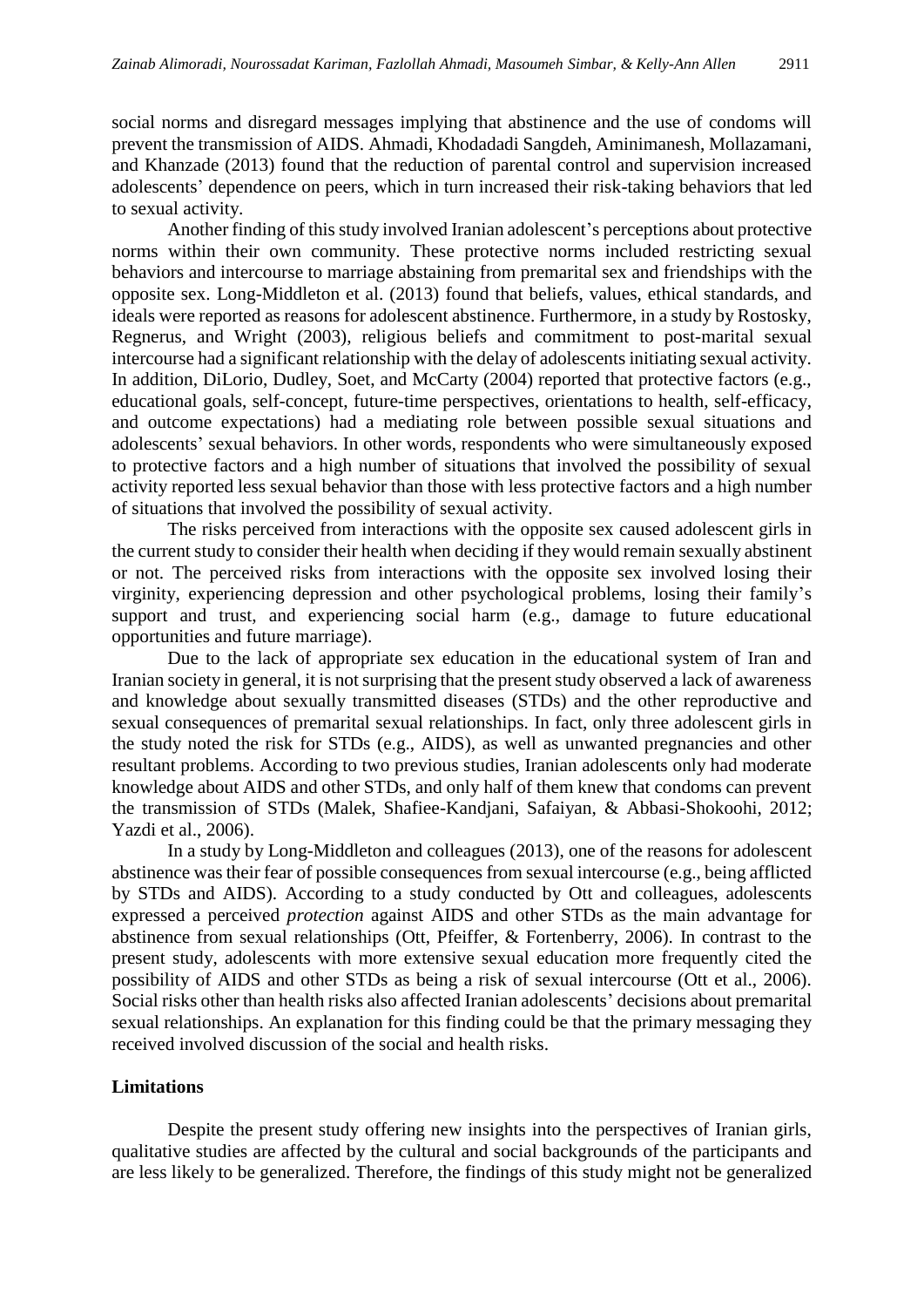social norms and disregard messages implying that abstinence and the use of condoms will prevent the transmission of AIDS. Ahmadi, Khodadadi Sangdeh, Aminimanesh, Mollazamani, and Khanzade (2013) found that the reduction of parental control and supervision increased adolescents' dependence on peers, which in turn increased their risk-taking behaviors that led to sexual activity.

Another finding of this study involved Iranian adolescent's perceptions about protective norms within their own community. These protective norms included restricting sexual behaviors and intercourse to marriage abstaining from premarital sex and friendships with the opposite sex. Long-Middleton et al. (2013) found that beliefs, values, ethical standards, and ideals were reported as reasons for adolescent abstinence. Furthermore, in a study by Rostosky, Regnerus, and Wright (2003), religious beliefs and commitment to post-marital sexual intercourse had a significant relationship with the delay of adolescents initiating sexual activity. In addition, DiLorio, Dudley, Soet, and McCarty (2004) reported that protective factors (e.g., educational goals, self-concept, future-time perspectives, orientations to health, self-efficacy, and outcome expectations) had a mediating role between possible sexual situations and adolescents' sexual behaviors. In other words, respondents who were simultaneously exposed to protective factors and a high number of situations that involved the possibility of sexual activity reported less sexual behavior than those with less protective factors and a high number of situations that involved the possibility of sexual activity.

The risks perceived from interactions with the opposite sex caused adolescent girls in the current study to consider their health when deciding if they would remain sexually abstinent or not. The perceived risks from interactions with the opposite sex involved losing their virginity, experiencing depression and other psychological problems, losing their family's support and trust, and experiencing social harm (e.g., damage to future educational opportunities and future marriage).

Due to the lack of appropriate sex education in the educational system of Iran and Iranian society in general, it is not surprising that the present study observed a lack of awareness and knowledge about sexually transmitted diseases (STDs) and the other reproductive and sexual consequences of premarital sexual relationships. In fact, only three adolescent girls in the study noted the risk for STDs (e.g., AIDS), as well as unwanted pregnancies and other resultant problems. According to two previous studies, Iranian adolescents only had moderate knowledge about AIDS and other STDs, and only half of them knew that condoms can prevent the transmission of STDs (Malek, Shafiee-Kandjani, Safaiyan, & Abbasi-Shokoohi, 2012; Yazdi et al., 2006).

In a study by Long-Middleton and colleagues (2013), one of the reasons for adolescent abstinence was their fear of possible consequences from sexual intercourse (e.g., being afflicted by STDs and AIDS). According to a study conducted by Ott and colleagues, adolescents expressed a perceived *protection* against AIDS and other STDs as the main advantage for abstinence from sexual relationships (Ott, Pfeiffer, & Fortenberry, 2006). In contrast to the present study, adolescents with more extensive sexual education more frequently cited the possibility of AIDS and other STDs as being a risk of sexual intercourse (Ott et al., 2006). Social risks other than health risks also affected Iranian adolescents' decisions about premarital sexual relationships. An explanation for this finding could be that the primary messaging they received involved discussion of the social and health risks.

### **Limitations**

Despite the present study offering new insights into the perspectives of Iranian girls, qualitative studies are affected by the cultural and social backgrounds of the participants and are less likely to be generalized. Therefore, the findings of this study might not be generalized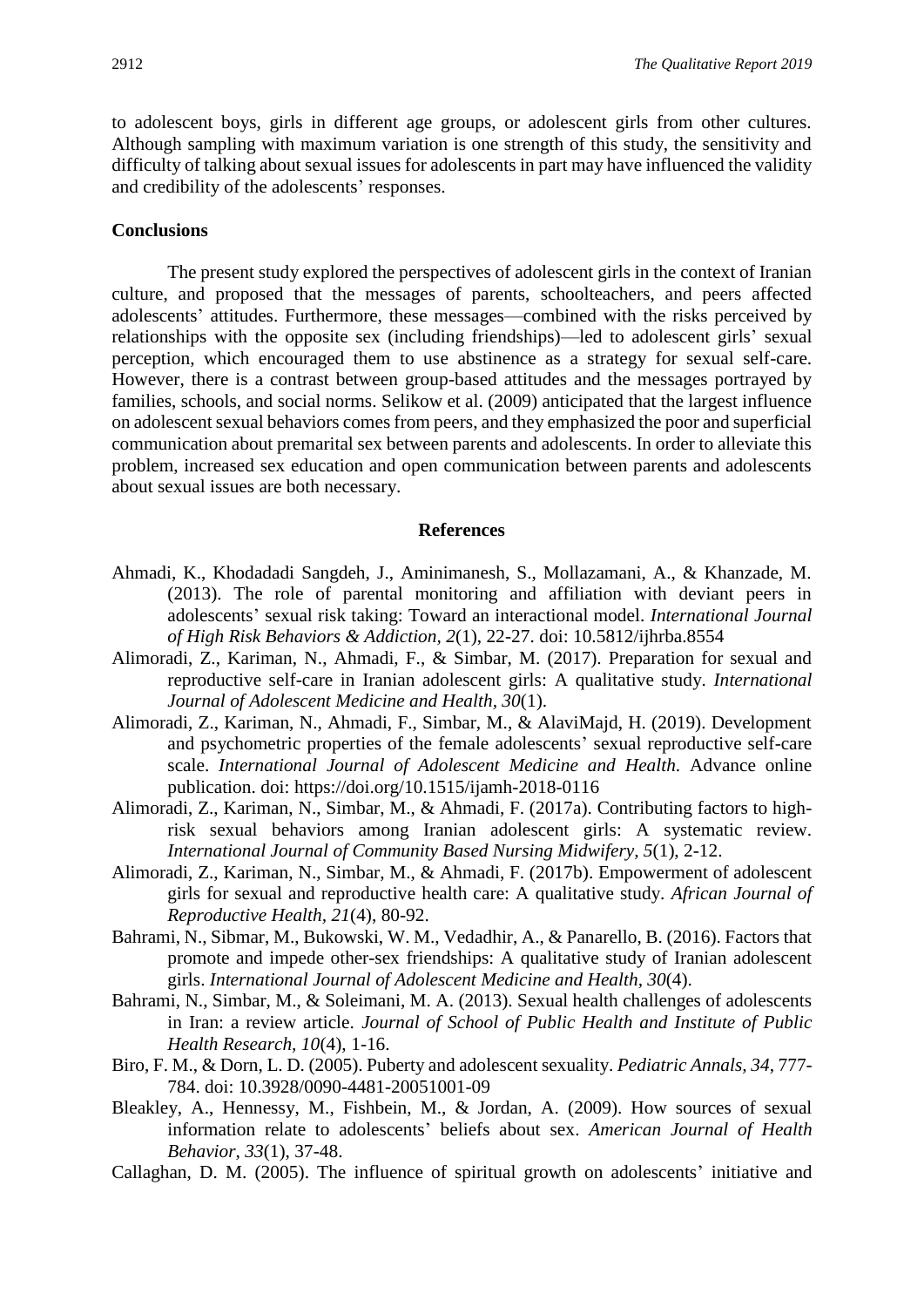to adolescent boys, girls in different age groups, or adolescent girls from other cultures. Although sampling with maximum variation is one strength of this study, the sensitivity and difficulty of talking about sexual issues for adolescents in part may have influenced the validity and credibility of the adolescents' responses.

# **Conclusions**

The present study explored the perspectives of adolescent girls in the context of Iranian culture, and proposed that the messages of parents, schoolteachers, and peers affected adolescents' attitudes. Furthermore, these messages—combined with the risks perceived by relationships with the opposite sex (including friendships)—led to adolescent girls' sexual perception, which encouraged them to use abstinence as a strategy for sexual self-care. However, there is a contrast between group-based attitudes and the messages portrayed by families, schools, and social norms. Selikow et al. (2009) anticipated that the largest influence on adolescent sexual behaviors comes from peers, and they emphasized the poor and superficial communication about premarital sex between parents and adolescents. In order to alleviate this problem, increased sex education and open communication between parents and adolescents about sexual issues are both necessary.

#### **References**

- Ahmadi, K., Khodadadi Sangdeh, J., Aminimanesh, S., Mollazamani, A., & Khanzade, M. (2013). The role of parental monitoring and affiliation with deviant peers in adolescents' sexual risk taking: Toward an interactional model. *International Journal of High Risk Behaviors & Addiction, 2*(1), 22-27. doi: 10.5812/ijhrba.8554
- Alimoradi, Z., Kariman, N., Ahmadi, F., & Simbar, M. (2017). Preparation for sexual and reproductive self-care in Iranian adolescent girls: A qualitative study. *International Journal of Adolescent Medicine and Health, 30*(1).
- Alimoradi, Z., Kariman, N., Ahmadi, F., Simbar, M., & AlaviMajd, H. (2019). Development and psychometric properties of the female adolescents' sexual reproductive self-care scale. *International Journal of Adolescent Medicine and Health*. Advance online publication. doi: https://doi.org/10.1515/ijamh-2018-0116
- Alimoradi, Z., Kariman, N., Simbar, M., & Ahmadi, F. (2017a). Contributing factors to highrisk sexual behaviors among Iranian adolescent girls: A systematic review. *International Journal of Community Based Nursing Midwifery, 5*(1), 2-12.
- Alimoradi, Z., Kariman, N., Simbar, M., & Ahmadi, F. (2017b). Empowerment of adolescent girls for sexual and reproductive health care: A qualitative study. *African Journal of Reproductive Health, 21*(4), 80-92.
- Bahrami, N., Sibmar, M., Bukowski, W. M., Vedadhir, A., & Panarello, B. (2016). Factors that promote and impede other-sex friendships: A qualitative study of Iranian adolescent girls. *International Journal of Adolescent Medicine and Health, 30*(4).
- Bahrami, N., Simbar, M., & Soleimani, M. A. (2013). Sexual health challenges of adolescents in Iran: a review article. *Journal of School of Public Health and Institute of Public Health Research, 10*(4), 1-16.
- Biro, F. M., & Dorn, L. D. (2005). Puberty and adolescent sexuality. *Pediatric Annals, 34*, 777- 784. doi: 10.3928/0090-4481-20051001-09
- Bleakley, A., Hennessy, M., Fishbein, M., & Jordan, A. (2009). How sources of sexual information relate to adolescents' beliefs about sex. *American Journal of Health Behavior, 33*(1), 37-48.
- Callaghan, D. M. (2005). The influence of spiritual growth on adolescents' initiative and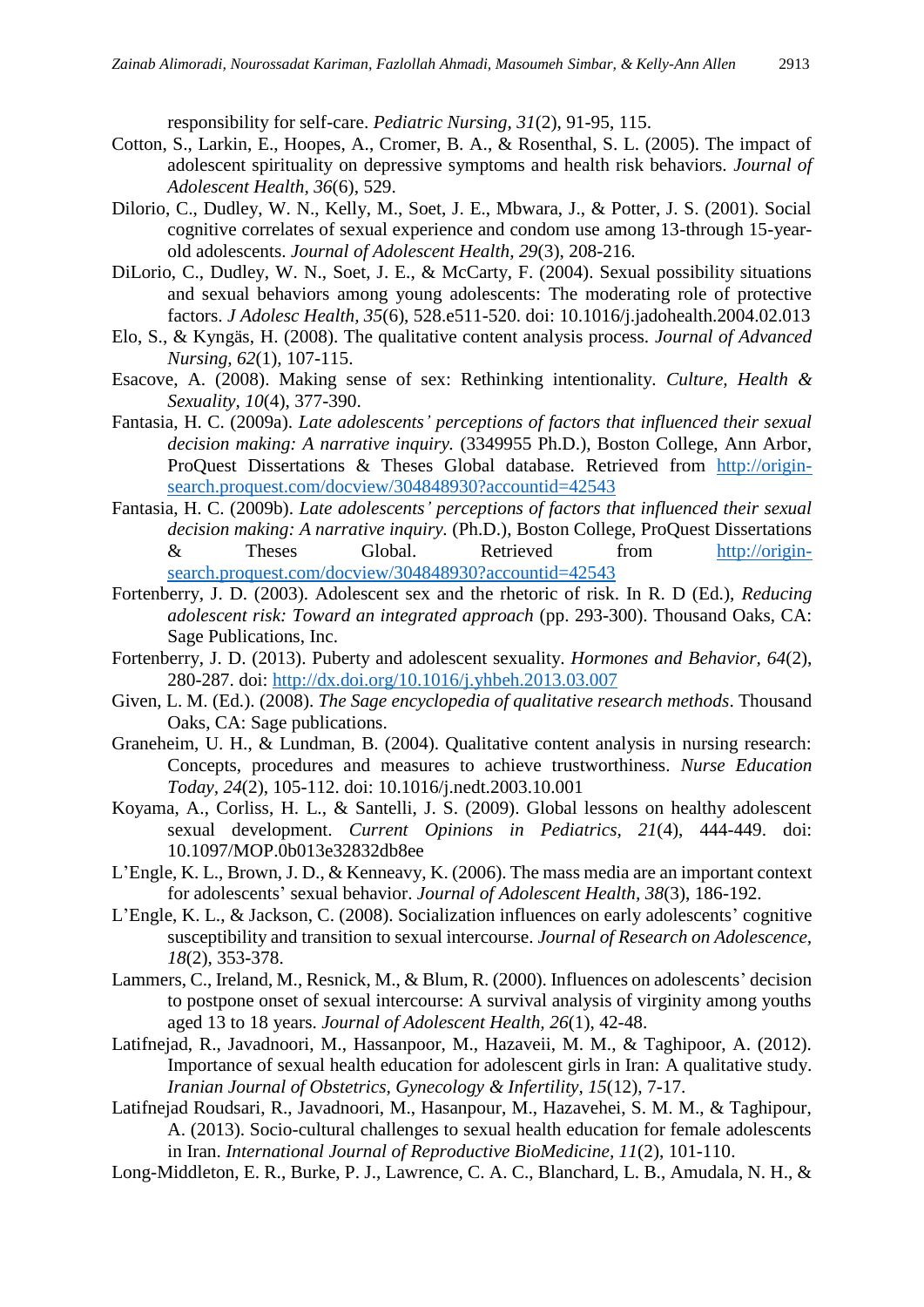responsibility for self-care. *Pediatric Nursing, 31*(2), 91-95, 115.

- Cotton, S., Larkin, E., Hoopes, A., Cromer, B. A., & Rosenthal, S. L. (2005). The impact of adolescent spirituality on depressive symptoms and health risk behaviors. *Journal of Adolescent Health, 36*(6), 529.
- Dilorio, C., Dudley, W. N., Kelly, M., Soet, J. E., Mbwara, J., & Potter, J. S. (2001). Social cognitive correlates of sexual experience and condom use among 13-through 15-yearold adolescents. *Journal of Adolescent Health, 29*(3), 208-216.
- DiLorio, C., Dudley, W. N., Soet, J. E., & McCarty, F. (2004). Sexual possibility situations and sexual behaviors among young adolescents: The moderating role of protective factors. *J Adolesc Health, 35*(6), 528.e511-520. doi: 10.1016/j.jadohealth.2004.02.013
- Elo, S., & Kyngäs, H. (2008). The qualitative content analysis process. *Journal of Advanced Nursing, 62*(1), 107-115.
- Esacove, A. (2008). Making sense of sex: Rethinking intentionality. *Culture, Health & Sexuality, 10*(4), 377-390.
- Fantasia, H. C. (2009a). *Late adolescents' perceptions of factors that influenced their sexual decision making: A narrative inquiry.* (3349955 Ph.D.), Boston College, Ann Arbor, ProQuest Dissertations & Theses Global database. Retrieved from [http://origin](http://origin-search.proquest.com/docview/304848930?accountid=42543)[search.proquest.com/docview/304848930?accountid=42543](http://origin-search.proquest.com/docview/304848930?accountid=42543)
- Fantasia, H. C. (2009b). *Late adolescents' perceptions of factors that influenced their sexual decision making: A narrative inquiry.* (Ph.D.), Boston College, ProQuest Dissertations & Theses Global. Retrieved from [http://origin](http://origin-search.proquest.com/docview/304848930?accountid=42543)[search.proquest.com/docview/304848930?accountid=42543](http://origin-search.proquest.com/docview/304848930?accountid=42543)
- Fortenberry, J. D. (2003). Adolescent sex and the rhetoric of risk. In R. D (Ed.), *Reducing adolescent risk: Toward an integrated approach* (pp. 293-300). Thousand Oaks, CA: Sage Publications, Inc.
- Fortenberry, J. D. (2013). Puberty and adolescent sexuality. *Hormones and Behavior, 64*(2), 280-287. doi:<http://dx.doi.org/10.1016/j.yhbeh.2013.03.007>
- Given, L. M. (Ed.). (2008). *The Sage encyclopedia of qualitative research methods*. Thousand Oaks, CA: Sage publications.
- Graneheim, U. H., & Lundman, B. (2004). Qualitative content analysis in nursing research: Concepts, procedures and measures to achieve trustworthiness. *Nurse Education Today, 24*(2), 105-112. doi: 10.1016/j.nedt.2003.10.001
- Koyama, A., Corliss, H. L., & Santelli, J. S. (2009). Global lessons on healthy adolescent sexual development. *Current Opinions in Pediatrics, 21*(4), 444-449. doi: 10.1097/MOP.0b013e32832db8ee
- L'Engle, K. L., Brown, J. D., & Kenneavy, K. (2006). The mass media are an important context for adolescents' sexual behavior. *Journal of Adolescent Health, 38*(3), 186-192.
- L'Engle, K. L., & Jackson, C. (2008). Socialization influences on early adolescents' cognitive susceptibility and transition to sexual intercourse. *Journal of Research on Adolescence, 18*(2), 353-378.
- Lammers, C., Ireland, M., Resnick, M., & Blum, R. (2000). Influences on adolescents' decision to postpone onset of sexual intercourse: A survival analysis of virginity among youths aged 13 to 18 years. *Journal of Adolescent Health, 26*(1), 42-48.
- Latifnejad, R., Javadnoori, M., Hassanpoor, M., Hazaveii, M. M., & Taghipoor, A. (2012). Importance of sexual health education for adolescent girls in Iran: A qualitative study. *Iranian Journal of Obstetrics, Gynecology & Infertility, 15*(12), 7-17.
- Latifnejad Roudsari, R., Javadnoori, M., Hasanpour, M., Hazavehei, S. M. M., & Taghipour, A. (2013). Socio-cultural challenges to sexual health education for female adolescents in Iran. *International Journal of Reproductive BioMedicine, 11*(2), 101-110.
- Long-Middleton, E. R., Burke, P. J., Lawrence, C. A. C., Blanchard, L. B., Amudala, N. H., &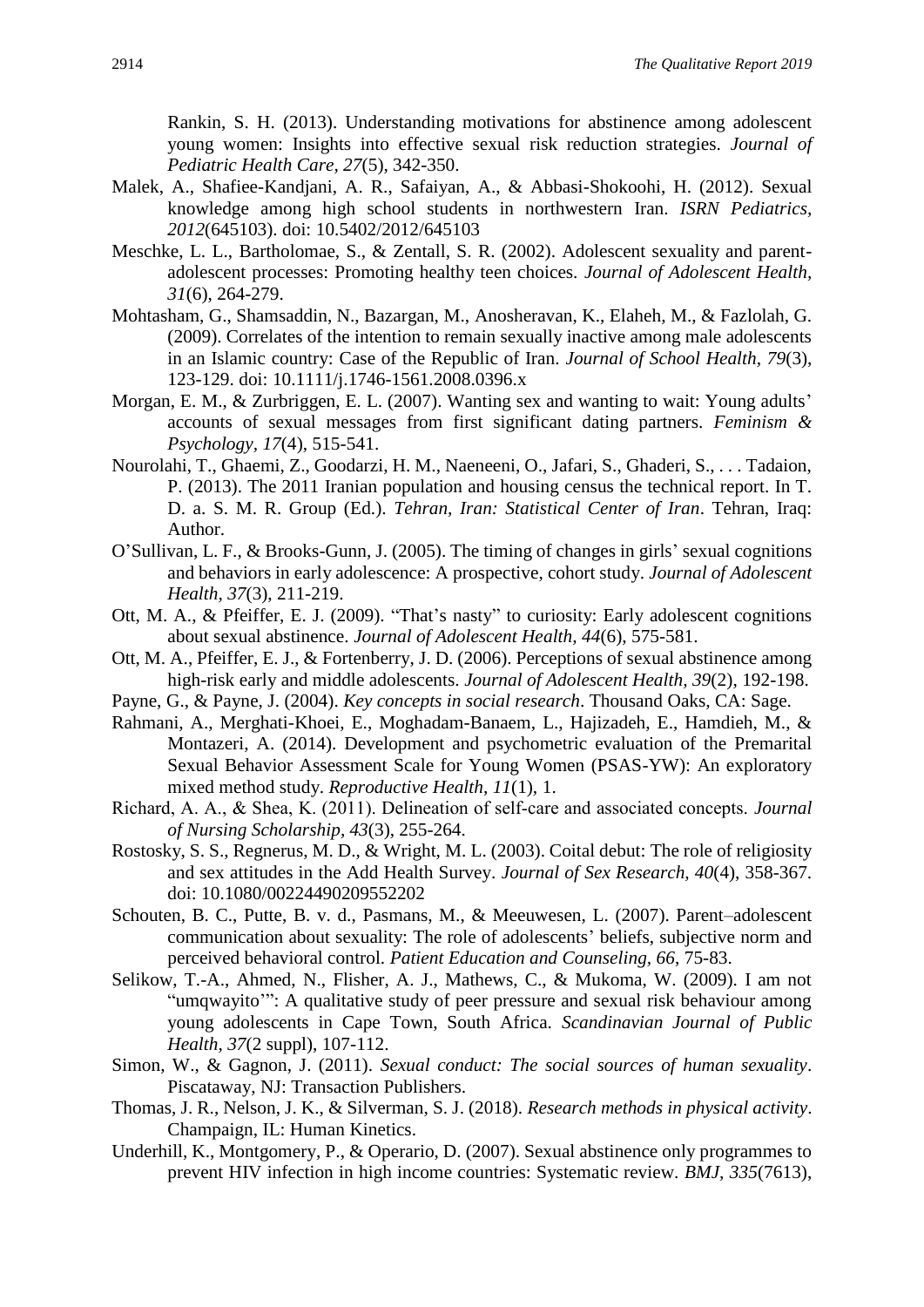Rankin, S. H. (2013). Understanding motivations for abstinence among adolescent young women: Insights into effective sexual risk reduction strategies. *Journal of Pediatric Health Care, 27*(5), 342-350.

- Malek, A., Shafiee-Kandjani, A. R., Safaiyan, A., & Abbasi-Shokoohi, H. (2012). Sexual knowledge among high school students in northwestern Iran. *ISRN Pediatrics, 2012*(645103). doi: 10.5402/2012/645103
- Meschke, L. L., Bartholomae, S., & Zentall, S. R. (2002). Adolescent sexuality and parentadolescent processes: Promoting healthy teen choices. *Journal of Adolescent Health, 31*(6), 264-279.
- Mohtasham, G., Shamsaddin, N., Bazargan, M., Anosheravan, K., Elaheh, M., & Fazlolah, G. (2009). Correlates of the intention to remain sexually inactive among male adolescents in an Islamic country: Case of the Republic of Iran. *Journal of School Health, 79*(3), 123-129. doi: 10.1111/j.1746-1561.2008.0396.x
- Morgan, E. M., & Zurbriggen, E. L. (2007). Wanting sex and wanting to wait: Young adults' accounts of sexual messages from first significant dating partners. *Feminism & Psychology, 17*(4), 515-541.
- Nourolahi, T., Ghaemi, Z., Goodarzi, H. M., Naeneeni, O., Jafari, S., Ghaderi, S., . . . Tadaion, P. (2013). The 2011 Iranian population and housing census the technical report. In T. D. a. S. M. R. Group (Ed.). *Tehran, Iran: Statistical Center of Iran*. Tehran, Iraq: Author.
- O'Sullivan, L. F., & Brooks-Gunn, J. (2005). The timing of changes in girls' sexual cognitions and behaviors in early adolescence: A prospective, cohort study. *Journal of Adolescent Health, 37*(3), 211-219.
- Ott, M. A., & Pfeiffer, E. J. (2009). "That's nasty" to curiosity: Early adolescent cognitions about sexual abstinence. *Journal of Adolescent Health, 44*(6), 575-581.
- Ott, M. A., Pfeiffer, E. J., & Fortenberry, J. D. (2006). Perceptions of sexual abstinence among high-risk early and middle adolescents. *Journal of Adolescent Health, 39*(2), 192-198.
- Payne, G., & Payne, J. (2004). *Key concepts in social research*. Thousand Oaks, CA: Sage.
- Rahmani, A., Merghati-Khoei, E., Moghadam-Banaem, L., Hajizadeh, E., Hamdieh, M., & Montazeri, A. (2014). Development and psychometric evaluation of the Premarital Sexual Behavior Assessment Scale for Young Women (PSAS-YW): An exploratory mixed method study. *Reproductive Health, 11*(1), 1.
- Richard, A. A., & Shea, K. (2011). Delineation of self‐care and associated concepts. *Journal of Nursing Scholarship, 43*(3), 255-264.
- Rostosky, S. S., Regnerus, M. D., & Wright, M. L. (2003). Coital debut: The role of religiosity and sex attitudes in the Add Health Survey. *Journal of Sex Research, 40*(4), 358-367. doi: 10.1080/00224490209552202
- Schouten, B. C., Putte, B. v. d., Pasmans, M., & Meeuwesen, L. (2007). Parent–adolescent communication about sexuality: The role of adolescents' beliefs, subjective norm and perceived behavioral control. *Patient Education and Counseling, 66*, 75-83.
- Selikow, T.-A., Ahmed, N., Flisher, A. J., Mathews, C., & Mukoma, W. (2009). I am not "umqwayito'": A qualitative study of peer pressure and sexual risk behaviour among young adolescents in Cape Town, South Africa. *Scandinavian Journal of Public Health, 37*(2 suppl), 107-112.
- Simon, W., & Gagnon, J. (2011). *Sexual conduct: The social sources of human sexuality*. Piscataway, NJ: Transaction Publishers.
- Thomas, J. R., Nelson, J. K., & Silverman, S. J. (2018). *Research methods in physical activity*. Champaign, IL: Human Kinetics.
- Underhill, K., Montgomery, P., & Operario, D. (2007). Sexual abstinence only programmes to prevent HIV infection in high income countries: Systematic review. *BMJ, 335*(7613),